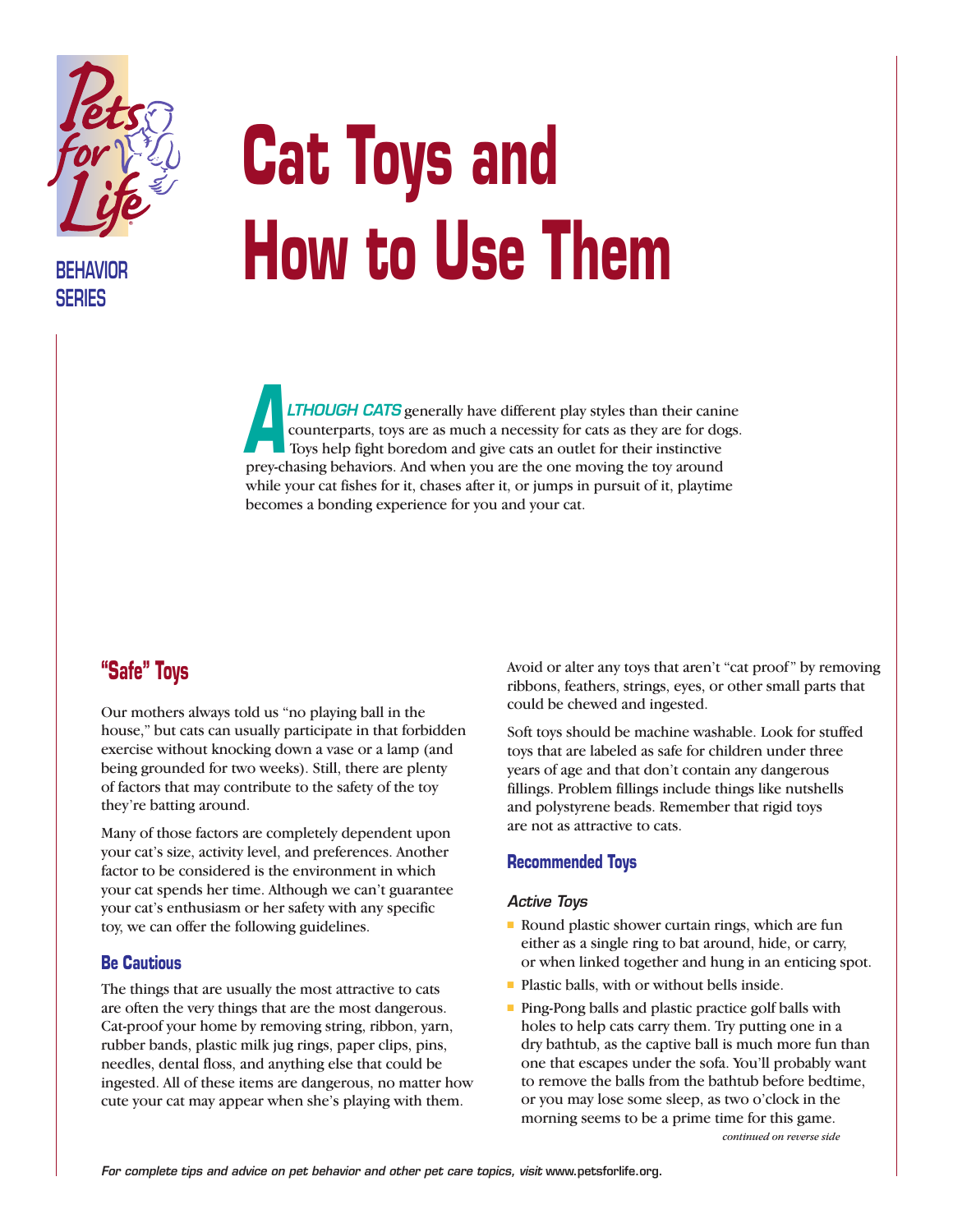

**BEHAVIOR SERIES**

# **Cat Toys and How to Use Them**

*LTHOUGH CATS* generally have different play styles than their canine counterparts, toys are as much a necessity for cats as they are for dogs. Toys help fight boredom and give cats an outlet for their instinctive prey-chasing behaviors. And when you are the one moving the toy around while your cat fishes for it, chases after it, or jumps in pursuit of it, playtime becomes a bonding experience for you and your cat. *A*

# **"Safe" Toys**

Our mothers always told us "no playing ball in the house," but cats can usually participate in that forbidden exercise without knocking down a vase or a lamp (and being grounded for two weeks). Still, there are plenty of factors that may contribute to the safety of the toy they're batting around.

Many of those factors are completely dependent upon your cat's size, activity level, and preferences. Another factor to be considered is the environment in which your cat spends her time. Although we can't guarantee your cat's enthusiasm or her safety with any specific toy, we can offer the following guidelines.

# **Be Cautious**

The things that are usually the most attractive to cats are often the very things that are the most dangerous. Cat-proof your home by removing string, ribbon, yarn, rubber bands, plastic milk jug rings, paper clips, pins, needles, dental floss, and anything else that could be ingested. All of these items are dangerous, no matter how cute your cat may appear when she's playing with them.

Avoid or alter any toys that aren't "cat proof" by removing ribbons, feathers, strings, eyes, or other small parts that could be chewed and ingested.

Soft toys should be machine washable. Look for stuffed toys that are labeled as safe for children under three years of age and that don't contain any dangerous fillings. Problem fillings include things like nutshells and polystyrene beads. Remember that rigid toys are not as attractive to cats.

# **Recommended Toys**

#### *Active Toys*

- Round plastic shower curtain rings, which are fun either as a single ring to bat around, hide, or carry, or when linked together and hung in an enticing spot.
- Plastic balls, with or without bells inside.
- Ping-Pong balls and plastic practice golf balls with holes to help cats carry them. Try putting one in a dry bathtub, as the captive ball is much more fun than one that escapes under the sofa. You'll probably want to remove the balls from the bathtub before bedtime, or you may lose some sleep, as two o'clock in the morning seems to be a prime time for this game. *continued on reverse side*